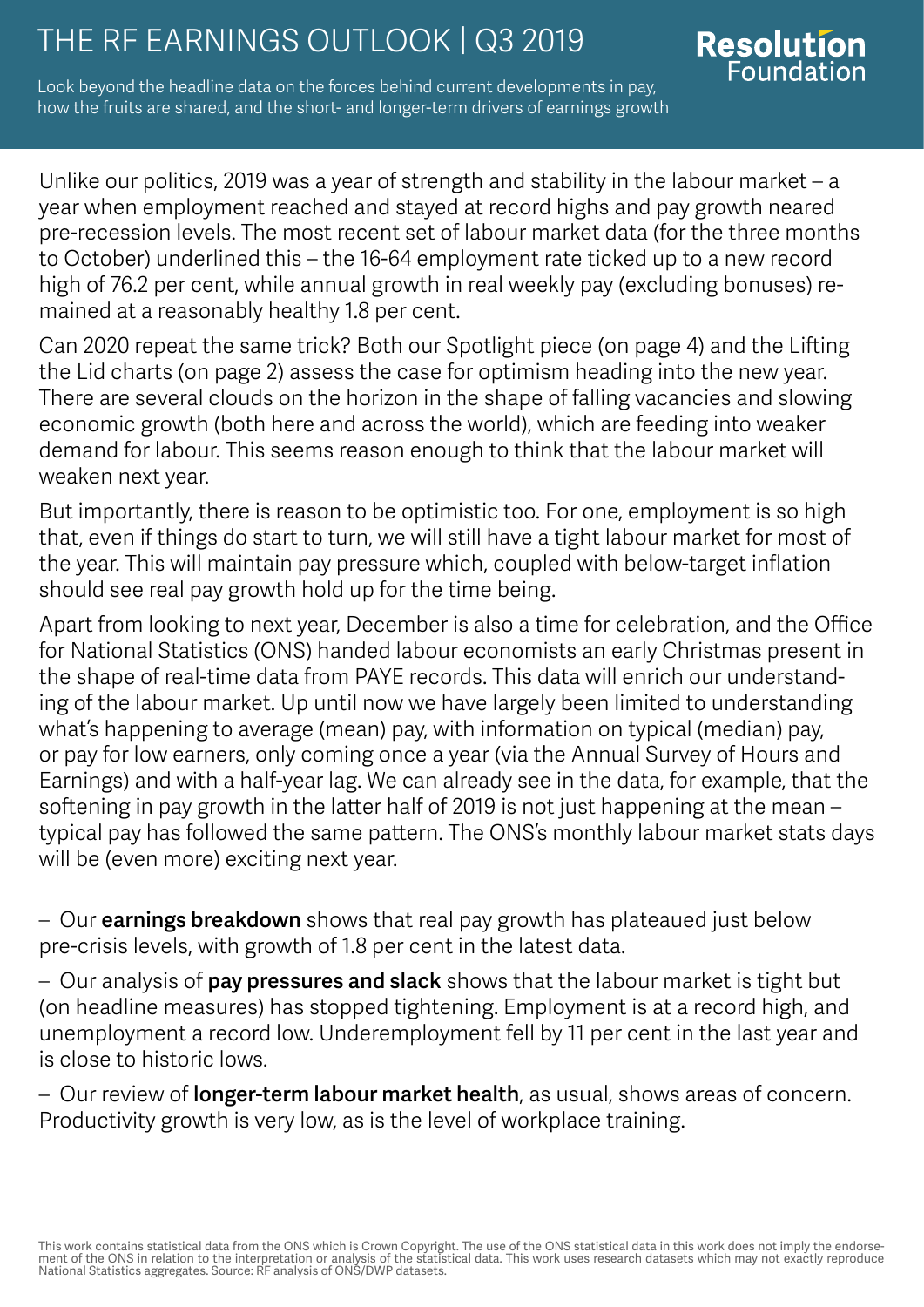# THE RF EARNINGS OUTLOOK | Q3 2019<br>Foundation

Look beyond the headline data on the forces behind current developments in pay, how the fruits are shared, and the short- and longer-term drivers of earnings growth

Unlike our politics, 2019 was a year of strength and stability in the labour market – a year when employment reached and stayed at record highs and pay growth neared pre-recession levels. The most recent set of labour market data (for the three months to October) underlined this – the 16-64 employment rate ticked up to a new record high of 76.2 per cent, while annual growth in real weekly pay (excluding bonuses) remained at a reasonably healthy 1.8 per cent.

Can 2020 repeat the same trick? Both our Spotlight piece (on page 4) and the Lifting the Lid charts (on page 2) assess the case for optimism heading into the new year. There are several clouds on the horizon in the shape of falling vacancies and slowing economic growth (both here and across the world), which are feeding into weaker demand for labour. This seems reason enough to think that the labour market will weaken next year.

But importantly, there is reason to be optimistic too. For one, employment is so high that, even if things do start to turn, we will still have a tight labour market for most of the year. This will maintain pay pressure which, coupled with below-target inflation should see real pay growth hold up for the time being.

Apart from looking to next year, December is also a time for celebration, and the Office for National Statistics (ONS) handed labour economists an early Christmas present in the shape of real-time data from PAYE records. This data will enrich our understanding of the labour market. Up until now we have largely been limited to understanding what's happening to average (mean) pay, with information on typical (median) pay, or pay for low earners, only coming once a year (via the Annual Survey of Hours and Earnings) and with a half-year lag. We can already see in the data, for example, that the softening in pay growth in the latter half of 2019 is not just happening at the mean – typical pay has followed the same pattern. The ONS's monthly labour market stats days will be (even more) exciting next year.

– Our **earnings breakdown** shows that real pay growth has plateaued just below pre-crisis levels, with growth of 1.8 per cent in the latest data.

– Our analysis of pay pressures and slack shows that the labour market is tight but (on headline measures) has stopped tightening. Employment is at a record high, and unemployment a record low. Underemployment fell by 11 per cent in the last year and is close to historic lows.

– Our review of **longer-term labour market health**, as usual, shows areas of concern. Productivity growth is very low, as is the level of workplace training.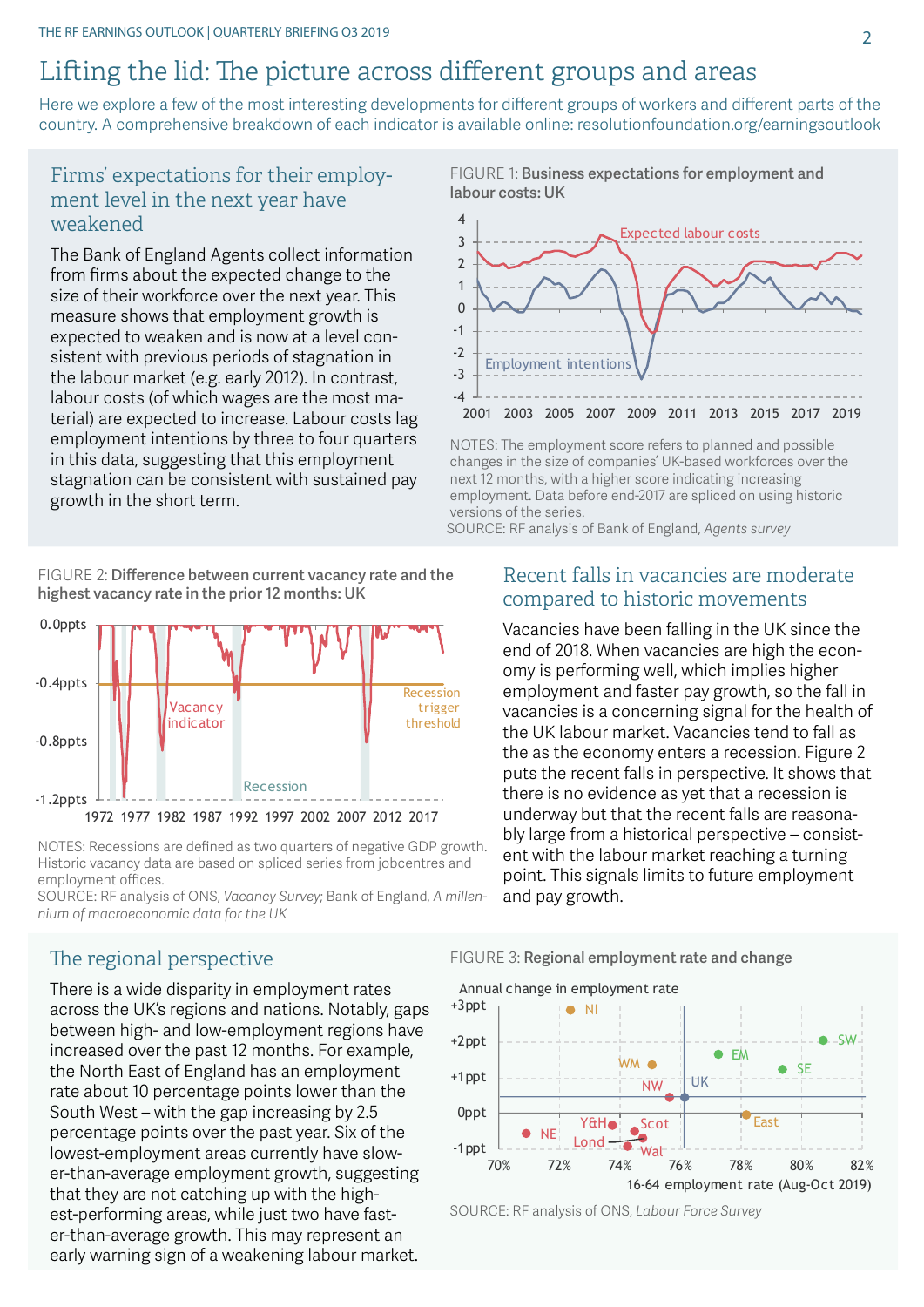#### Lifting the lid: The picture across different groups and areas

Here we explore a few of the most interesting developments for different groups of workers and different parts of the country. A comprehensive breakdown of each indicator is available online: [resolutionfoundation.org/earningsoutlook](http://resolutionfoundation.org/earningsoutlook)

#### Firms' expectations for their employment level in the next year have weakened

The Bank of England Agents collect information from firms about the expected change to the size of their workforce over the next year. This measure shows that employment growth is expected to weaken and is now at a level consistent with previous periods of stagnation in the labour market (e.g. early 2012). In contrast, labour costs (of which wages are the most material) are expected to increase. Labour costs lag employment intentions by three to four quarters in this data, suggesting that this employment stagnation can be consistent with sustained pay growth in the short term.

FIGURE 2: Difference between current vacancy rate and the highest vacancy rate in the prior 12 months: UK



NOTES: Recessions are defined as two quarters of negative GDP growth. Historic vacancy data are based on spliced series from jobcentres and employment offices.

SOURCE: RF analysis of ONS, *Vacancy Survey*; Bank of England, *A millennium of macroeconomic data for the UK*

### labour costs: UK Expected labour costs

FIGURE 1: Business expectations for employment and



NOTES: The employment score refers to planned and possible changes in the size of companies' UK-based workforces over the next 12 months, with a higher score indicating increasing employment. Data before end-2017 are spliced on using historic versions of the series.

SOURCE: RF analysis of Bank of England, *Agents survey*

#### Recent falls in vacancies are moderate compared to historic movements

Vacancies have been falling in the UK since the end of 2018. When vacancies are high the economy is performing well, which implies higher employment and faster pay growth, so the fall in vacancies is a concerning signal for the health of the UK labour market. Vacancies tend to fall as the as the economy enters a recession. Figure 2 puts the recent falls in perspective. It shows that there is no evidence as yet that a recession is underway but that the recent falls are reasonably large from a historical perspective – consistent with the labour market reaching a turning point. This signals limits to future employment and pay growth.

#### The regional perspective

There is a wide disparity in employment rates across the UK's regions and nations. Notably, gaps between high- and low-employment regions have increased over the past 12 months. For example, the North East of England has an employment rate about 10 percentage points lower than the South West – with the gap increasing by 2.5 percentage points over the past year. Six of the lowest-employment areas currently have slower-than-average employment growth, suggesting that they are not catching up with the highest-performing areas, while just two have faster-than-average growth. This may represent an early warning sign of a weakening labour market.

#### FIGURE 3: Regional employment rate and change



SOURCE: RF analysis of ONS, *Labour Force Survey*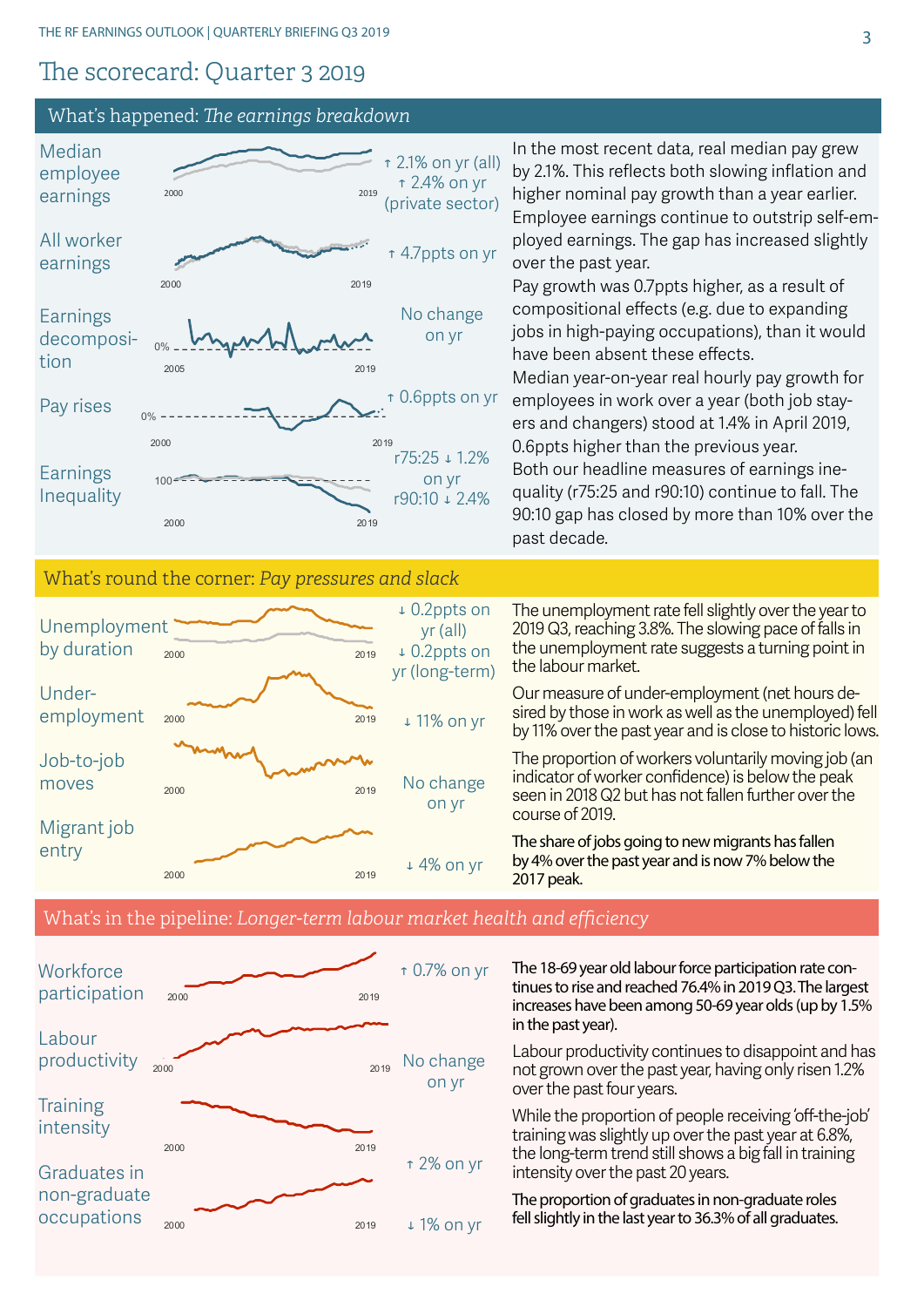#### The scorecard: Quarter 3 2019

#### What's happened: *The earnings breakdown*

2000 2019

2000 2019

Graduates in non-graduate occupations



↑ 2% on yr

↓ 1% on yr

training was slightly up over the past year at 6.8%, the long-term trend still shows a big fall in training intensity over the past 20 years.

The proportion of graduates in non-graduate roles fell slightly in the last year to 36.3% of all graduates.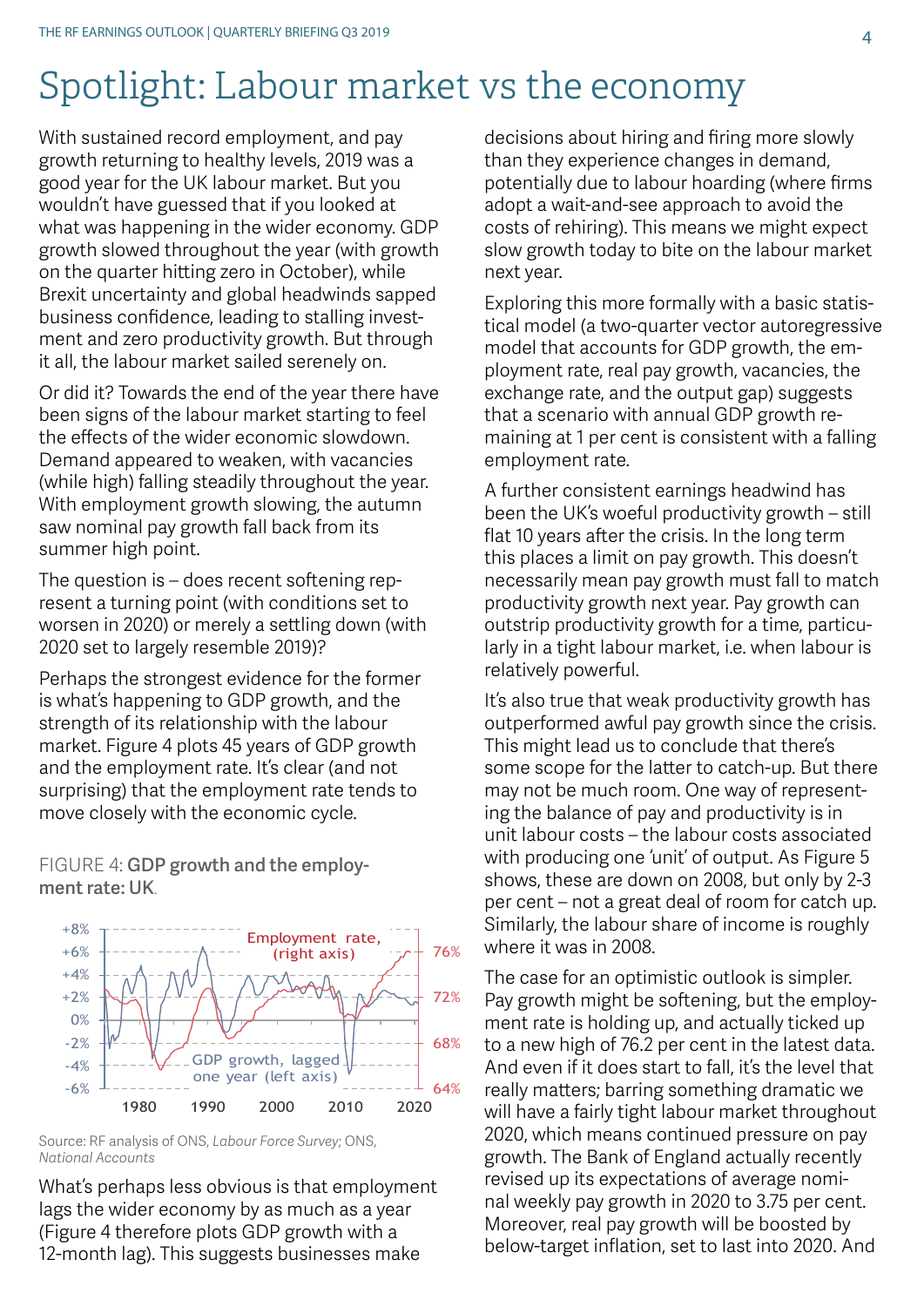## Spotlight: Labour market vs the economy

With sustained record employment, and pay growth returning to healthy levels, 2019 was a good year for the UK labour market. But you wouldn't have guessed that if you looked at what was happening in the wider economy. GDP growth slowed throughout the year (with growth on the quarter hitting zero in October), while Brexit uncertainty and global headwinds sapped business confidence, leading to stalling investment and zero productivity growth. But through it all, the labour market sailed serenely on.

Or did it? Towards the end of the year there have been signs of the labour market starting to feel the effects of the wider economic slowdown. Demand appeared to weaken, with vacancies (while high) falling steadily throughout the year. With employment growth slowing, the autumn saw nominal pay growth fall back from its summer high point.

The question is – does recent softening represent a turning point (with conditions set to worsen in 2020) or merely a settling down (with 2020 set to largely resemble 2019)?

Perhaps the strongest evidence for the former is what's happening to GDP growth, and the strength of its relationship with the labour market. Figure 4 plots 45 years of GDP growth and the employment rate. It's clear (and not surprising) that the employment rate tends to move closely with the economic cycle.

FIGURE 4: GDP growth and the employment rate: UK.



Source: RF analysis of ONS, *Labour Force Survey*; ONS, *National Accounts*

What's perhaps less obvious is that employment lags the wider economy by as much as a year (Figure 4 therefore plots GDP growth with a 12-month lag). This suggests businesses make

decisions about hiring and firing more slowly than they experience changes in demand, potentially due to labour hoarding (where firms adopt a wait-and-see approach to avoid the costs of rehiring). This means we might expect slow growth today to bite on the labour market next year.

Exploring this more formally with a basic statistical model (a two-quarter vector autoregressive model that accounts for GDP growth, the employment rate, real pay growth, vacancies, the exchange rate, and the output gap) suggests that a scenario with annual GDP growth remaining at 1 per cent is consistent with a falling employment rate.

A further consistent earnings headwind has been the UK's woeful productivity growth – still flat 10 years after the crisis. In the long term this places a limit on pay growth. This doesn't necessarily mean pay growth must fall to match productivity growth next year. Pay growth can outstrip productivity growth for a time, particularly in a tight labour market, i.e. when labour is relatively powerful.

It's also true that weak productivity growth has outperformed awful pay growth since the crisis. This might lead us to conclude that there's some scope for the latter to catch-up. But there may not be much room. One way of representing the balance of pay and productivity is in unit labour costs – the labour costs associated with producing one 'unit' of output. As Figure 5 shows, these are down on 2008, but only by 2-3 per cent – not a great deal of room for catch up. Similarly, the labour share of income is roughly where it was in 2008.

The case for an optimistic outlook is simpler. Pay growth might be softening, but the employment rate is holding up, and actually ticked up to a new high of 76.2 per cent in the latest data. And even if it does start to fall, it's the level that really matters; barring something dramatic we will have a fairly tight labour market throughout 2020, which means continued pressure on pay growth. The Bank of England actually recently revised up its expectations of average nominal weekly pay growth in 2020 to 3.75 per cent. Moreover, real pay growth will be boosted by below-target inflation, set to last into 2020. And